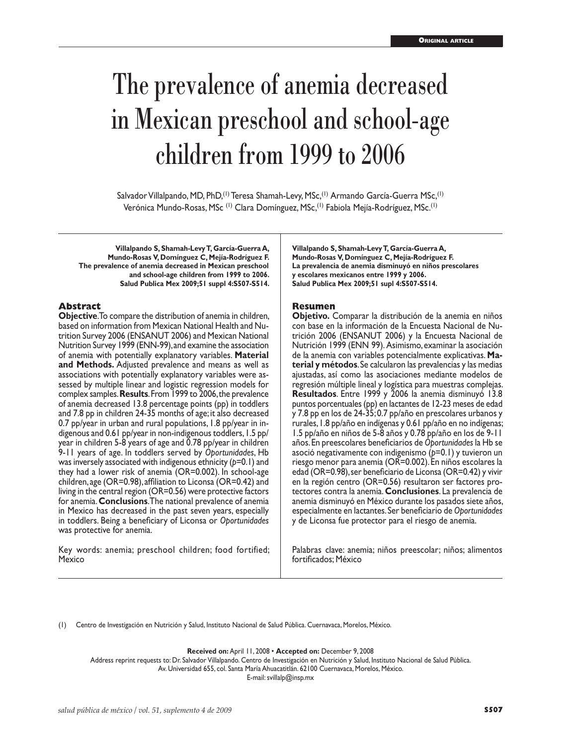# The prevalence of anemia decreased in Mexican preschool and school-age children from 1999 to 2006

Salvador Villalpando, MD, PhD,<sup>(1)</sup> Teresa Shamah-Levy, MSc,<sup>(1)</sup> Armando García-Guerra MSc,<sup>(1)</sup> Verónica Mundo-Rosas, MSc<sup>(I)</sup> Clara Domínguez, MSc,<sup>(I)</sup> Fabiola Mejía-Rodríguez, MSc.<sup>(I)</sup>

**Villalpando S, Shamah-Levy T, García-Guerra A, Mundo-Rosas V, Domínguez C, Mejía-Rodríguez F. The prevalence of anemia decreased in Mexican preschool and school-age children from 1999 to 2006. Salud Publica Mex 2009;51 suppl 4:S507-S514.**

#### **Abstract**

**Objective**. To compare the distribution of anemia in children, based on information from Mexican National Health and Nutrition Survey 2006 (ENSANUT 2006) and Mexican National Nutrition Survey 1999 (ENN-99), and examine the association of anemia with potentially explanatory variables. **Material and Methods.** Adjusted prevalence and means as well as associations with potentially explanatory variables were assessed by multiple linear and logistic regression models for complex samples. **Results**. From 1999 to 2006, the prevalence of anemia decreased 13.8 percentage points (pp) in toddlers and 7.8 pp in children 24-35 months of age; it also decreased 0.7 pp/year in urban and rural populations, 1.8 pp/year in in digenous and 0.61 pp/year in non-indigenous toddlers, 1.5 pp/ year in children 5-8 years of age and 0.78 pp/year in children 9-11 years of age. In toddlers served by *Oportunidades*, Hb was inversely associated with indigenous ethnicity ( $p=0.1$ ) and they had a lower risk of anemia (OR=0.002). In school-age children, age (OR=0.98), affiliation to Liconsa (OR=0.42) and living in the central region (OR=0.56) were protective factors for anemia. **Conclusions**. The national prevalence of anemia in Mexico has decreased in the past seven years, especially in toddlers. Being a beneficiary of Liconsa or *Oportunidades* was protective for anemia.

Key words: anemia; preschool children; food fortified; Mexico

**Villalpando S, Shamah-Levy T, García-Guerra A, Mundo-Rosas V, Domínguez C, Mejía-Rodríguez F. La prevalencia de anemia disminuyó en niños prescolares y escolares mexicanos entre 1999 y 2006. Salud Publica Mex 2009;51 supl 4:S507-S514.**

#### **Resumen**

**Objetivo.** Comparar la distribución de la anemia en niños con base en la información de la Encuesta Nacional de Nutrición 2006 (ENSANUT 2006) y la Encuesta Nacional de Nutrición 1999 (ENN 99). Asimismo, examinar la asociación de la anemia con variables potencialmente explicativas. **Material y métodos**. Se calcularon las prevalencias y las medias ajustadas, así como las asociaciones mediante modelos de regresión múltiple lineal y logística para muestras complejas. **Resultados**. Entre 1999 y 2006 la anemia disminuyó 13.8 puntos porcentuales (pp) en lactantes de 12-23 meses de edad y 7.8 pp en los de 24-35; 0.7 pp/año en prescolares urbanos y rurales, 1.8 pp/año en indígenas y 0.61 pp/año en no indígenas; 1.5 pp/año en niños de 5-8 años y 0.78 pp/año en los de 9-11 años. En preescolares beneficiarios de *Oportunidades* la Hb se asoció negativamente con indigenismo (*p*=0.1) y tuvieron un riesgo menor para anemia (OR=0.002). En niños escolares la edad (OR=0.98), ser beneficiario de Liconsa (OR=0.42) y vivir en la región centro (OR=0.56) resultaron ser factores pro tectores contra la anemia. **Conclusiones**. La prevalencia de anemia disminuyó en México durante los pasados siete años, especialmente en lactantes. Ser beneficiario de *Oportunidades* y de Liconsa fue protector para el riesgo de anemia.

Palabras clave: anemia; niños preescolar; niños; alimentos fortificados; México

(1) Centro de Investigación en Nutrición y Salud, Instituto Nacional de Salud Pública. Cuernavaca, Morelos, México.

**Received on:** April 11, 2008 • **Accepted on:** December 9, 2008

Address reprint requests to: Dr. Salvador Villalpando. Centro de Investigación en Nutrición y Salud, Instituto Nacional de Salud Pública. Av. Universidad 655, col. Santa María Ahuacatitlán. 62100 Cuernavaca, Morelos, México.

E-mail: svillalp@insp.mx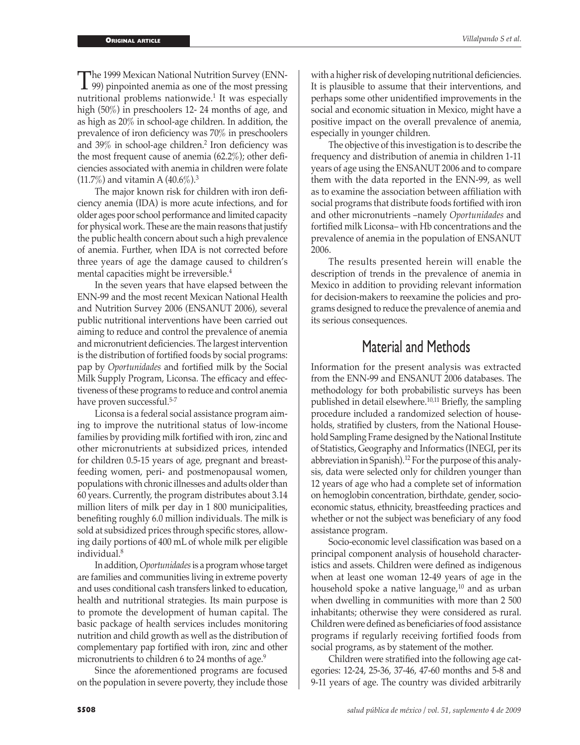The 1999 Mexican National Nutrition Survey (ENN-<br>
99) pinpointed anemia as one of the most pressing<br>
mutritional problems patientidal It was aspecially nutritional problems nationwide.<sup>1</sup> It was especially high (50%) in preschoolers 12- 24 months of age, and as high as 20% in school-age children. In addition, the prevalence of iron deficiency was 70% in preschoolers and 39% in school-age children.<sup>2</sup> Iron deficiency was the most frequent cause of anemia (62.2%); other deficiencies associated with anemia in children were folate  $(11.7\%)$  and vitamin A  $(40.6\%)$ <sup>3</sup>

The major known risk for children with iron deficiency anemia (IDA) is more acute infections, and for older ages poor school performance and limited capacity for physical work. These are the main reasons that justify the public health concern about such a high prevalence of anemia. Further, when IDA is not corrected before three years of age the damage caused to children's mental capacities might be irreversible.<sup>4</sup>

In the seven years that have elapsed between the ENN-99 and the most recent Mexican National Health and Nutrition Survey 2006 (ENSANUT 2006), several public nutritional interventions have been carried out aiming to reduce and control the prevalence of anemia and micronutrient deficiencies. The largest intervention is the distribution of fortified foods by social programs: pap by *Oportunidades* and fortified milk by the Social Milk Supply Program, Liconsa. The efficacy and effectiveness of these programs to reduce and control anemia have proven successful.<sup>5-7</sup>

Liconsa is a federal social assistance program aiming to improve the nutritional status of low-income families by providing milk fortified with iron, zinc and other micronutrients at subsidized prices, intended for children 0.5-15 years of age, pregnant and breastfeeding women, peri- and postmenopausal women, populations with chronic illnesses and adults older than 60 years. Currently, the program distributes about 3.14 million liters of milk per day in 1 800 municipalities, benefiting roughly 6.0 million individuals. The milk is sold at subsidized prices through specific stores, allowing daily portions of 400 mL of whole milk per eligible individual.<sup>8</sup>

In addition, *Oportunidades* is a program whose target are families and communities living in extreme poverty and uses conditional cash transfers linked to education, health and nutritional strategies. Its main purpose is to promote the development of human capital. The basic package of health services includes monitoring nutrition and child growth as well as the distribution of complementary pap fortified with iron, zinc and other micronutrients to children 6 to 24 months of age.<sup>9</sup>

Since the aforementioned programs are focused on the population in severe poverty, they include those

with a higher risk of developing nutritional deficiencies. It is plausible to assume that their interventions, and perhaps some other unidentified improvements in the social and economic situation in Mexico, might have a positive impact on the overall prevalence of anemia, especially in younger children.

The objective of this investigation is to describe the frequency and distribution of anemia in children 1-11 years of age using the ENSANUT 2006 and to compare them with the data reported in the ENN-99, as well as to examine the association between affiliation with social programs that distribute foods fortified with iron and other micronutrients –namely *Oportunidades* and fortified milk Liconsa– with Hb concentrations and the prevalence of anemia in the population of ENSANUT 2006.

The results presented herein will enable the description of trends in the prevalence of anemia in Mexico in addition to providing relevant information for decision-makers to reexamine the policies and programs designed to reduce the prevalence of anemia and its serious consequences.

# Material and Methods

Information for the present analysis was extracted from the ENN-99 and ENSANUT 2006 databases. The methodology for both probabilistic surveys has been published in detail elsewhere.10,11 Briefly, the sampling procedure included a randomized selection of households, stratified by clusters, from the National Household Sampling Frame designed by the National Institute of Statistics, Geography and Informatics (INEGI, per its abbreviation in Spanish).<sup>12</sup> For the purpose of this analysis, data were selected only for children younger than 12 years of age who had a complete set of information on hemoglobin concentration, birthdate, gender, socioeconomic status, ethnicity, breastfeeding practices and whether or not the subject was beneficiary of any food assistance program.

Socio-economic level classification was based on a principal component analysis of household characteristics and assets. Children were defined as indigenous when at least one woman 12-49 years of age in the household spoke a native language, $^{10}$  and as urban when dwelling in communities with more than 2 500 inhabitants; otherwise they were considered as rural. Children were defined as beneficiaries of food assistance programs if regularly receiving fortified foods from social programs, as by statement of the mother.

Children were stratified into the following age categories: 12-24, 25-36, 37-46, 47-60 months and 5-8 and 9-11 years of age. The country was divided arbitrarily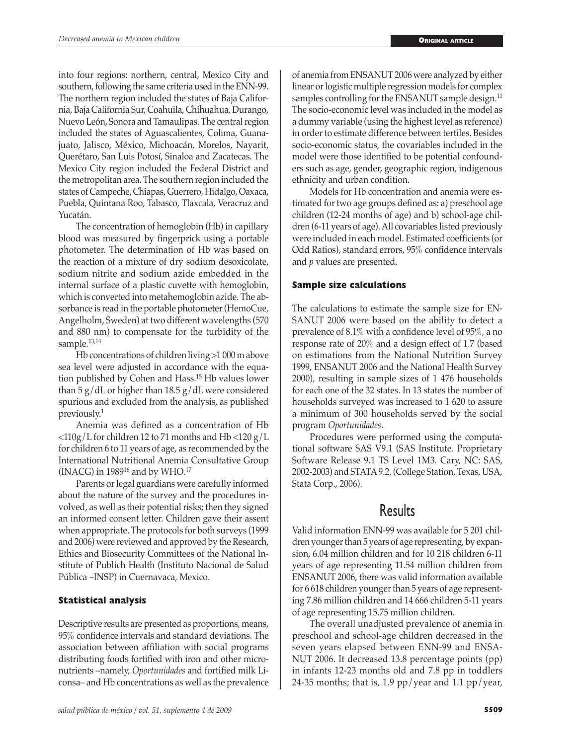into four regions: northern, central, Mexico City and southern, following the same criteria used in the ENN-99. The northern region included the states of Baja California, Baja California Sur, Coahuila, Chihuahua, Durango, Nuevo León, Sonora and Tamaulipas. The central region included the states of Aguascalientes, Colima, Guanajuato, Jalisco, México, Michoacán, Morelos, Nayarit, Querétaro, San Luis Potosí, Sinaloa and Zacatecas. The Mexico City region included the Federal District and the metropolitan area. The southern region included the states of Campeche, Chiapas, Guerrero, Hidalgo, Oaxaca, Puebla, Quintana Roo, Tabasco, Tlaxcala, Veracruz and Yucatán.

The concentration of hemoglobin (Hb) in capillary blood was measured by fingerprick using a portable photometer. The determination of Hb was based on the reaction of a mixture of dry sodium desoxicolate, sodium nitrite and sodium azide embedded in the internal surface of a plastic cuvette with hemoglobin, which is converted into metahemoglobin azide. The absorbance is read in the portable photometer (HemoCue, Angelholm, Sweden) at two different wavelengths (570 and 880 nm) to compensate for the turbidity of the sample.<sup>13,14</sup>

Hb concentrations of children living >1 000 m above sea level were adjusted in accordance with the equation published by Cohen and Hass.15 Hb values lower than 5  $g/dL$  or higher than 18.5  $g/dL$  were considered spurious and excluded from the analysis, as published previously.<sup>1</sup>

Anemia was defined as a concentration of Hb  $\langle 110g/L$  for children 12 to 71 months and Hb  $\langle 120g/L$ for children 6 to 11 years of age, as recommended by the International Nutritional Anemia Consultative Group (INACG) in 198916 and by WHO.<sup>17</sup>

Parents or legal guardians were carefully informed about the nature of the survey and the procedures involved, as well as their potential risks; then they signed an informed consent letter. Children gave their assent when appropriate. The protocols for both surveys (1999 and 2006) were reviewed and approved by the Research, Ethics and Biosecurity Committees of the National Institute of Publich Health (Instituto Nacional de Salud Pública –INSP) in Cuernavaca, Mexico.

## **Statistical analysis**

Descriptive results are presented as proportions, means, 95% confidence intervals and standard deviations. The association between affiliation with social programs distributing foods fortified with iron and other micronutrients –namely, *Oportunidades* and fortified milk Liconsa– and Hb concentrations as well as the prevalence

*salud pública de méxico / vol. 51, suplemento 4 de 2009* **S509**

of anemia from ENSANUT 2006 were analyzed by either linear or logistic multiple regression models for complex samples controlling for the ENSANUT sample design.<sup>11</sup> The socio-economic level was included in the model as a dummy variable (using the highest level as reference) in order to estimate difference between tertiles. Besides socio-economic status, the covariables included in the model were those identified to be potential confounders such as age, gender, geographic region, indigenous ethnicity and urban condition.

Models for Hb concentration and anemia were estimated for two age groups defined as: a) preschool age children (12-24 months of age) and b) school-age children (6-11 years of age). All covariables listed previously were included in each model. Estimated coefficients (or Odd Ratios), standard errors, 95% confidence intervals and *p* values are presented.

# **Sample size calculations**

The calculations to estimate the sample size for EN-SANUT 2006 were based on the ability to detect a prevalence of 8.1% with a confidence level of 95%, a no response rate of 20% and a design effect of 1.7 (based on estimations from the National Nutrition Survey 1999, ENSANUT 2006 and the National Health Survey 2000), resulting in sample sizes of 1 476 households for each one of the 32 states. In 13 states the number of households surveyed was increased to 1 620 to assure a minimum of 300 households served by the social program *Oportunidades*.

Procedures were performed using the computational software SAS V9.1 (SAS Institute. Proprietary Software Release 9.1 TS Level 1M3. Cary, NC: SAS, 2002-2003) and STATA 9.2. (College Station, Texas, USA, Stata Corp., 2006).

# Results

Valid information ENN-99 was available for 5 201 children younger than 5 years of age representing, by expansion, 6.04 million children and for 10 218 children 6-11 years of age representing 11.54 million children from ENSANUT 2006, there was valid information available for 6 618 children younger than 5 years of age representing 7.86 million children and 14 666 children 5-11 years of age representing 15.75 million children.

The overall unadjusted prevalence of anemia in preschool and school-age children decreased in the seven years elapsed between ENN-99 and ENSA-NUT 2006. It decreased 13.8 percentage points (pp) in infants 12-23 months old and 7.8 pp in toddlers 24-35 months; that is, 1.9 pp/year and 1.1 pp/year,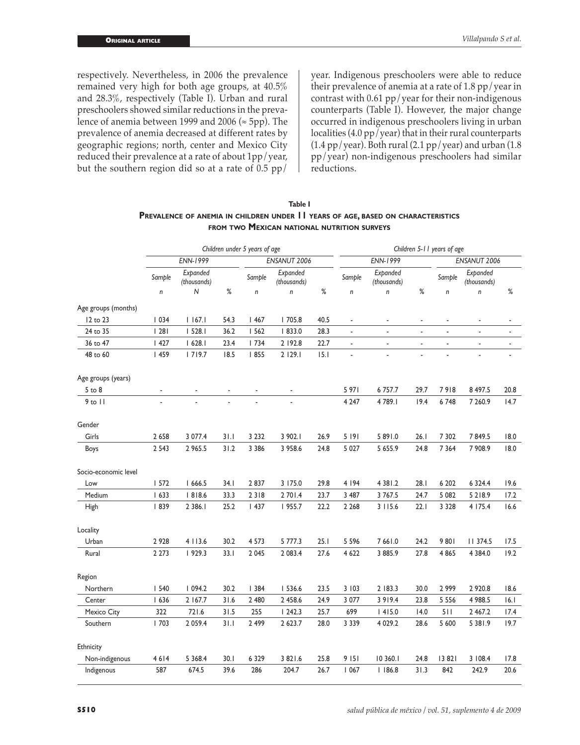respectively. Nevertheless, in 2006 the prevalence remained very high for both age groups, at 40.5% and 28.3%, respectively (Table I). Urban and rural preschoolers showed similar reductions in the prevalence of anemia between 1999 and 2006 ( $\approx$  5pp). The prevalence of anemia decreased at different rates by geographic regions; north, center and Mexico City reduced their prevalence at a rate of about 1pp/year, but the southern region did so at a rate of  $0.5$  pp/

year. Indigenous preschoolers were able to reduce their prevalence of anemia at a rate of 1.8 pp/year in contrast with 0.61 pp/year for their non-indigenous counterparts (Table I). However, the major change occurred in indigenous preschoolers living in urban localities (4.0 pp/year) that in their rural counterparts  $(1.4 \text{ pp}/\text{year})$ . Both rural  $(2.1 \text{ pp}/\text{year})$  and urban  $(1.8 \text{ mm})$ pp/year) non-indigenous preschoolers had similar reductions.

| Table I                                                                          |  |  |  |  |  |  |  |  |
|----------------------------------------------------------------------------------|--|--|--|--|--|--|--|--|
| PREVALENCE OF ANEMIA IN CHILDREN UNDER 11 YEARS OF AGE, BASED ON CHARACTERISTICS |  |  |  |  |  |  |  |  |
| FROM TWO MEXICAN NATIONAL NUTRITION SURVEYS                                      |  |  |  |  |  |  |  |  |

|                      | Children under 5 years of age |                         |      |              |                         | Children 5-11 years of age |                          |                         |      |                          |                         |                |
|----------------------|-------------------------------|-------------------------|------|--------------|-------------------------|----------------------------|--------------------------|-------------------------|------|--------------------------|-------------------------|----------------|
|                      | <b>ENN-1999</b>               |                         |      | ENSANUT 2006 |                         |                            | <b>ENN-1999</b>          |                         |      | ENSANUT 2006             |                         |                |
|                      | Sample                        | Expanded<br>(thousands) |      | Sample       | Expanded<br>(thousands) |                            | Sample                   | Expanded<br>(thousands) |      | Sample                   | Expanded<br>(thousands) |                |
|                      | $\mathsf{n}$                  | N                       | $\%$ | n            | $\mathsf{n}$            | $\%$                       | $\mathsf{n}$             | n                       | $\%$ | $\mathsf{n}$             | $\mathsf{n}$            | $\%$           |
| Age groups (months)  |                               |                         |      |              |                         |                            |                          |                         |      |                          |                         |                |
| 12 to 23             | 1034                          | 1167.1                  | 54.3 | 1467         | 705.8                   | 40.5                       | $\blacksquare$           | ä,                      | ä,   |                          | ä,                      |                |
| 24 to 35             | 28                            | 1528.1                  | 36.2 | 1562         | 833.0                   | 28.3                       | ÷,                       | ä,                      | ÷,   | $\overline{\phantom{a}}$ | ä,                      | ÷,             |
| 36 to 47             | 1427                          | 1628.1                  | 23.4 | 1734         | 2 192.8                 | 22.7                       | $\overline{\phantom{a}}$ | ä,                      | ÷,   | $\overline{\phantom{a}}$ | $\blacksquare$          | $\blacksquare$ |
| 48 to 60             | 459                           | 1719.7                  | 18.5 | 855          | 2 129.1                 | 15.1                       | $\overline{a}$           |                         |      |                          |                         |                |
| Age groups (years)   |                               |                         |      |              |                         |                            |                          |                         |      |                          |                         |                |
| 5 to 8               | ä,                            |                         |      |              |                         |                            | 5 971                    | 6 7 5 7 .7              | 29.7 | 7918                     | 8 497.5                 | 20.8           |
| $9$ to $11$          |                               |                         |      |              |                         |                            | 4 2 4 7                  | 4789.1                  | 19.4 | 6748                     | 7 260.9                 | 14.7           |
| Gender               |                               |                         |      |              |                         |                            |                          |                         |      |                          |                         |                |
| Girls                | 2 6 5 8                       | 3 077.4                 | 31.1 | 3 2 3 2      | 3 902.1                 | 26.9                       | 5 191                    | 5 891.0                 | 26.1 | 7 3 0 2                  | 7849.5                  | 18.0           |
| Boys                 | 2 5 4 3                       | 2 965.5                 | 31.2 | 3 3 8 6      | 3 958.6                 | 24.8                       | 5 0 27                   | 5 655.9                 | 24.8 | 7 3 6 4                  | 7 908.9                 | 18.0           |
| Socio-economic level |                               |                         |      |              |                         |                            |                          |                         |      |                          |                         |                |
| Low                  | 1572                          | 1666.5                  | 34.1 | 2837         | 3 175.0                 | 29.8                       | 4 1 9 4                  | 4 3 8 1 .2              | 28.1 | 6 202                    | 6 3 2 4.4               | 19.6           |
| Medium               | 1633                          | 818.6                   | 33.3 | 2318         | 2 701.4                 | 23.7                       | 3 4 8 7                  | 3 7 6 7 .5              | 24.7 | 5 0 8 2                  | 5 2 1 8.9               | 17.2           |
| High                 | 839                           | 2 3 8 6.1               | 25.2 | 1437         | 1955.7                  | 22.2                       | 2 2 6 8                  | 3115.6                  | 22.1 | 3 3 2 8                  | 4 175.4                 | 16.6           |
| Locality             |                               |                         |      |              |                         |                            |                          |                         |      |                          |                         |                |
| Urban                | 2 9 2 8                       | 4 113.6                 | 30.2 | 4 5 7 3      | 5 777.3                 | 25.1                       | 5 5 9 6                  | 7 66 1.0                | 24.2 | 9801                     | 11 374.5                | 17.5           |
| Rural                | 2 2 7 3                       | 929.3                   | 33.1 | 2 0 4 5      | 2 083.4                 | 27.6                       | 4 6 2 2                  | 3 885.9                 | 27.8 | 4 8 6 5                  | 4 3 8 4 .0              | 19.2           |
| Region               |                               |                         |      |              |                         |                            |                          |                         |      |                          |                         |                |
| Northern             | 1540                          | 1094.2                  | 30.2 | 1384         | 536.6                   | 23.5                       | 3 103                    | 2 183.3                 | 30.0 | 2999                     | 2 9 2 0.8               | 18.6           |
| Center               | 1636                          | 2 167.7                 | 31.6 | 2 480        | 2 458.6                 | 24.9                       | 3 077                    | 3 9 1 9.4               | 23.8 | 5 5 5 6                  | 4 988.5                 | 16.1           |
| Mexico City          | 322                           | 721.6                   | 31.5 | 255          | 1242.3                  | 25.7                       | 699                      | 1415.0                  | 14.0 | 511                      | 2 4 6 7.2               | 17.4           |
| Southern             | 1703                          | 2 0 5 9.4               | 31.1 | 2 499        | 2 6 2 3 . 7             | 28.0                       | 3 3 3 9                  | 4 0 29.2                | 28.6 | 5 600                    | 5 38 1.9                | 19.7           |
| Ethnicity            |                               |                         |      |              |                         |                            |                          |                         |      |                          |                         |                |
| Non-indigenous       | 4614                          | 5 3 68.4                | 30.1 | 6 3 2 9      | 3 8 2 1 .6              | 25.8                       | 9 1 5 1                  | 10 360.1                | 24.8 | 13 821                   | 3 108.4                 | 17.8           |
| Indigenous           | 587                           | 674.5                   | 39.6 | 286          | 204.7                   | 26.7                       | 1067                     | 1186.8                  | 31.3 | 842                      | 242.9                   | 20.6           |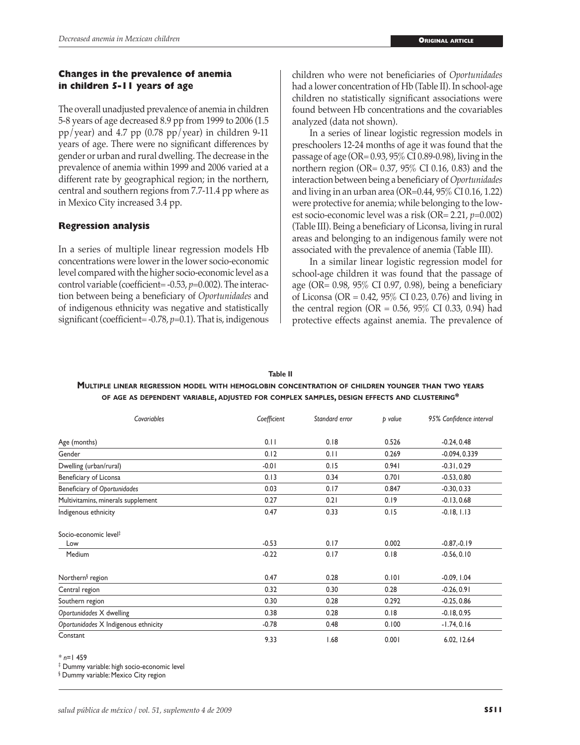## **Changes in the prevalence of anemia in children 5-11 years of age**

The overall unadjusted prevalence of anemia in children 5-8 years of age decreased 8.9 pp from 1999 to 2006 (1.5 pp/year) and 4.7 pp  $(0.78 \text{ pp/year})$  in children 9-11 years of age. There were no significant differences by gender or urban and rural dwelling. The decrease in the prevalence of anemia within 1999 and 2006 varied at a different rate by geographical region; in the northern, central and southern regions from 7.7-11.4 pp where as in Mexico City increased 3.4 pp.

## **Regression analysis**

In a series of multiple linear regression models Hb concentrations were lower in the lower socio-economic level compared with the higher socio-economic level as a control variable (coefficient= -0.53, *p*=0.002). The interaction between being a beneficiary of *Oportunidades* and of indigenous ethnicity was negative and statistically significant (coefficient= -0.78, *p*=0.1). That is, indigenous children who were not beneficiaries of *Oportunidades* had a lower concentration of Hb (Table II). In school-age children no statistically significant associations were found between Hb concentrations and the covariables analyzed (data not shown).

In a series of linear logistic regression models in preschoolers 12-24 months of age it was found that the passage of age (OR= 0.93, 95% CI 0.89-0.98), living in the northern region (OR= 0.37, 95% CI 0.16, 0.83) and the interaction between being a beneficiary of *Oportunidades* and living in an urban area (OR=0.44, 95% CI 0.16, 1.22) were protective for anemia; while belonging to the lowest socio-economic level was a risk (OR= 2.21, *p*=0.002) (Table III). Being a beneficiary of Liconsa, living in rural areas and belonging to an indigenous family were not associated with the prevalence of anemia (Table III).

In a similar linear logistic regression model for school-age children it was found that the passage of age (OR= 0.98, 95% CI 0.97, 0.98), being a beneficiary of Liconsa (OR = 0.42, 95% CI 0.23, 0.76) and living in the central region (OR =  $0.56$ ,  $95\%$  CI 0.33, 0.94) had protective effects against anemia. The prevalence of

| Table II                                                                                          |
|---------------------------------------------------------------------------------------------------|
| MULTIPLE LINEAR REGRESSION MODEL WITH HEMOGLOBIN CONCENTRATION OF CHILDREN YOUNGER THAN TWO YEARS |
| OF AGE AS DEPENDENT VARIABLE, ADJUSTED FOR COMPLEX SAMPLES, DESIGN EFFECTS AND CLUSTERING*        |

| Covariables                          | Coefficient | Standard error | p value | 95% Confidence interval |  |
|--------------------------------------|-------------|----------------|---------|-------------------------|--|
| Age (months)                         | 0.11        | 0.18           | 0.526   | $-0.24, 0.48$           |  |
| Gender                               | 0.12        | 0.11           | 0.269   | $-0.094, 0.339$         |  |
| Dwelling (urban/rural)               | $-0.01$     | 0.15           | 0.941   | $-0.31, 0.29$           |  |
| Beneficiary of Liconsa               | 0.13        | 0.34           | 0.701   | $-0.53, 0.80$           |  |
| Beneficiary of Oportunidades         | 0.03        | 0.17           | 0.847   | $-0.30, 0.33$           |  |
| Multivitamins, minerals supplement   | 0.27        | 0.21           | 0.19    | $-0.13, 0.68$           |  |
| Indigenous ethnicity                 | 0.47        | 0.33           | 0.15    | $-0.18, 1.13$           |  |
| Socio-economic level <sup>#</sup>    |             |                |         |                         |  |
| Low                                  | $-0.53$     | 0.17           | 0.002   | $-0.87,-0.19$           |  |
| Medium                               | $-0.22$     | 0.17           | 0.18    | $-0.56, 0.10$           |  |
| Northern <sup>§</sup> region         | 0.47        | 0.28           | 0.101   | $-0.09, 1.04$           |  |
| Central region                       | 0.32        | 0.30           | 0.28    | $-0.26, 0.91$           |  |
| Southern region                      | 0.30        | 0.28           | 0.292   | $-0.25, 0.86$           |  |
| Oportunidades X dwelling             | 0.38        | 0.28           | 0.18    | $-0.18, 0.95$           |  |
| Oportunidades X Indigenous ethnicity | $-0.78$     | 0.48           | 0.100   | $-1.74, 0.16$           |  |
| Constant                             | 9.33        | 1.68           | 0.001   | 6.02, 12.64             |  |

*\* n*=1 459

‡ Dummy variable: high socio-economic level

§ Dummy variable: Mexico City region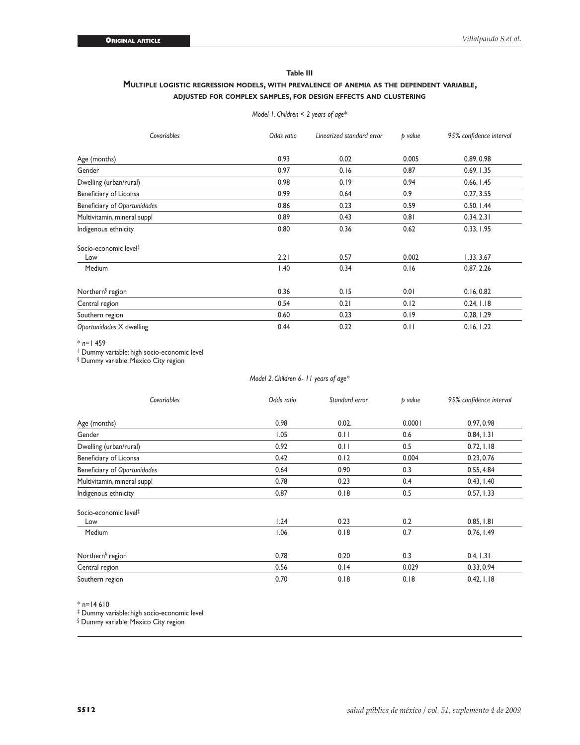### **Table III**

#### **Multiple logistic regression models, with prevalence of anemia as the dependent variable, adjusted for complex samples, for design effects and clustering**

*Model 1. Children < 2 years of age\**

| Covariables                       | Odds ratio | Linearized standard error | p value | 95% confidence interval |  |
|-----------------------------------|------------|---------------------------|---------|-------------------------|--|
| Age (months)                      | 0.93       | 0.02                      | 0.005   | 0.89, 0.98              |  |
| Gender                            | 0.97       | 0.16                      | 0.87    | 0.69, 1.35              |  |
| Dwelling (urban/rural)            | 0.98       | 0.19                      | 0.94    | 0.66, 1.45              |  |
| Beneficiary of Liconsa            | 0.99       | 0.64                      | 0.9     | 0.27, 3.55              |  |
| Beneficiary of Oportunidades      | 0.86       | 0.23                      | 0.59    | 0.50, 1.44              |  |
| Multivitamin, mineral suppl       | 0.89       | 0.43                      | 0.81    | 0.34, 2.31              |  |
| Indigenous ethnicity              | 0.80       | 0.36                      | 0.62    | 0.33, 1.95              |  |
| Socio-economic level <sup>‡</sup> |            |                           |         |                         |  |
| Low                               | 2.21       | 0.57                      | 0.002   | 1.33, 3.67              |  |
| Medium                            | 1.40       | 0.34                      | 0.16    | 0.87, 2.26              |  |
| Northern <sup>§</sup> region      | 0.36       | 0.15                      | 0.01    | 0.16, 0.82              |  |
| Central region                    | 0.54       | 0.21                      | 0.12    | 0.24, 1.18              |  |
| Southern region                   | 0.60       | 0.23                      | 0.19    | 0.28, 1.29              |  |
| Oportunidades X dwelling          | 0.44       | 0.22                      | 0.11    | 0.16, 1.22              |  |

\* *n*=1 459

‡ Dummy variable: high socio-economic level

§ Dummy variable: Mexico City region

#### *Model 2. Children 6- 11 years of age\**

| Covariables                       | Odds ratio | Standard error | p value | 95% confidence interval |  |
|-----------------------------------|------------|----------------|---------|-------------------------|--|
| Age (months)                      | 0.98       | 0.02.          | 0.0001  | 0.97, 0.98              |  |
| Gender                            | 1.05       | 0.11           | 0.6     | 0.84, 1.31              |  |
| Dwelling (urban/rural)            | 0.92       | 0.11           | 0.5     | 0.72, 1.18              |  |
| Beneficiary of Liconsa            | 0.42       | 0.12           | 0.004   | 0.23, 0.76              |  |
| Beneficiary of Oportunidades      | 0.64       | 0.90           | 0.3     | 0.55, 4.84              |  |
| Multivitamin, mineral suppl       | 0.78       | 0.23           | 0.4     | 0.43, 1.40              |  |
| Indigenous ethnicity              | 0.87       | 0.18           | 0.5     | 0.57, 1.33              |  |
| Socio-economic level <sup>‡</sup> |            |                |         |                         |  |
| Low                               | 1.24       | 0.23           | 0.2     | 0.85, 1.81              |  |
| Medium                            | 1.06       | 0.18           | 0.7     | 0.76, 1.49              |  |
| Northern <sup>§</sup> region      | 0.78       | 0.20           | 0.3     | 0.4, 1.31               |  |
| Central region                    | 0.56       | 0.14           | 0.029   | 0.33, 0.94              |  |
| Southern region                   | 0.70       | 0.18           | 0.18    | 0.42, 1.18              |  |

 $*$  n=14 610

‡ Dummy variable: high socio-economic level

§ Dummy variable: Mexico City region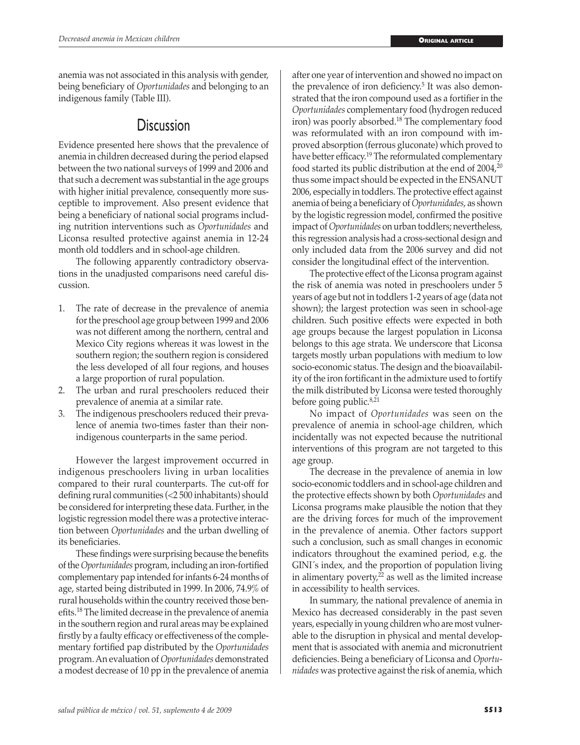anemia was not associated in this analysis with gender, being beneficiary of *Oportunidades* and belonging to an indigenous family (Table III).

# **Discussion**

Evidence presented here shows that the prevalence of anemia in children decreased during the period elapsed between the two national surveys of 1999 and 2006 and that such a decrement was substantial in the age groups with higher initial prevalence, consequently more susceptible to improvement. Also present evidence that being a beneficiary of national social programs including nutrition interventions such as *Oportunidades* and Liconsa resulted protective against anemia in 12-24 month old toddlers and in school-age children.

The following apparently contradictory observations in the unadjusted comparisons need careful discussion.

- 1. The rate of decrease in the prevalence of anemia for the preschool age group between 1999 and 2006 was not different among the northern, central and Mexico City regions whereas it was lowest in the southern region; the southern region is considered the less developed of all four regions, and houses a large proportion of rural population.
- 2. The urban and rural preschoolers reduced their prevalence of anemia at a similar rate.
- 3. The indigenous preschoolers reduced their prevalence of anemia two-times faster than their nonindigenous counterparts in the same period.

However the largest improvement occurred in indigenous preschoolers living in urban localities compared to their rural counterparts. The cut-off for defining rural communities (<2 500 inhabitants) should be considered for interpreting these data. Further, in the logistic regression model there was a protective interaction between *Oportunidades* and the urban dwelling of its beneficiaries.

These findings were surprising because the benefits of the *Oportunidades* program, including an iron-fortified complementary pap intended for infants 6-24 months of age, started being distributed in 1999. In 2006, 74.9% of rural households within the country received those benefits.18 The limited decrease in the prevalence of anemia in the southern region and rural areas may be explained firstly by a faulty efficacy or effectiveness of the complementary fortified pap distributed by the *Oportunidades* program. An evaluation of *Oportunidades* demonstrated a modest decrease of 10 pp in the prevalence of anemia after one year of intervention and showed no impact on the prevalence of iron deficiency.<sup>5</sup> It was also demonstrated that the iron compound used as a fortifier in the *Oportunidades* complementary food (hydrogen reduced iron) was poorly absorbed.18 The complementary food was reformulated with an iron compound with improved absorption (ferrous gluconate) which proved to have better efficacy.<sup>19</sup> The reformulated complementary food started its public distribution at the end of 2004,20 thus some impact should be expected in the ENSANUT 2006, especially in toddlers. The protective effect against anemia of being a beneficiary of *Oportunidades*, as shown by the logistic regression model, confirmed the positive impact of *Oportunidades* on urban toddlers; nevertheless, this regression analysis had a cross-sectional design and only included data from the 2006 survey and did not consider the longitudinal effect of the intervention.

The protective effect of the Liconsa program against the risk of anemia was noted in preschoolers under 5 years of age but not in toddlers 1-2 years of age (data not shown); the largest protection was seen in school-age children. Such positive effects were expected in both age groups because the largest population in Liconsa belongs to this age strata. We underscore that Liconsa targets mostly urban populations with medium to low socio-economic status. The design and the bioavailability of the iron fortificant in the admixture used to fortify the milk distributed by Liconsa were tested thoroughly before going public.<sup>8,21</sup>

No impact of *Oportunidades* was seen on the prevalence of anemia in school-age children, which incidentally was not expected because the nutritional interventions of this program are not targeted to this age group.

The decrease in the prevalence of anemia in low socio-economic toddlers and in school-age children and the protective effects shown by both *Oportunidades* and Liconsa programs make plausible the notion that they are the driving forces for much of the improvement in the prevalence of anemia. Other factors support such a conclusion, such as small changes in economic indicators throughout the examined period, e.g. the GINI´s index, and the proportion of population living in alimentary poverty, $22$  as well as the limited increase in accessibility to health services.

In summary, the national prevalence of anemia in Mexico has decreased considerably in the past seven years, especially in young children who are most vulnerable to the disruption in physical and mental development that is associated with anemia and micronutrient deficiencies. Being a beneficiary of Liconsa and *Oportunidades* was protective against the risk of anemia, which